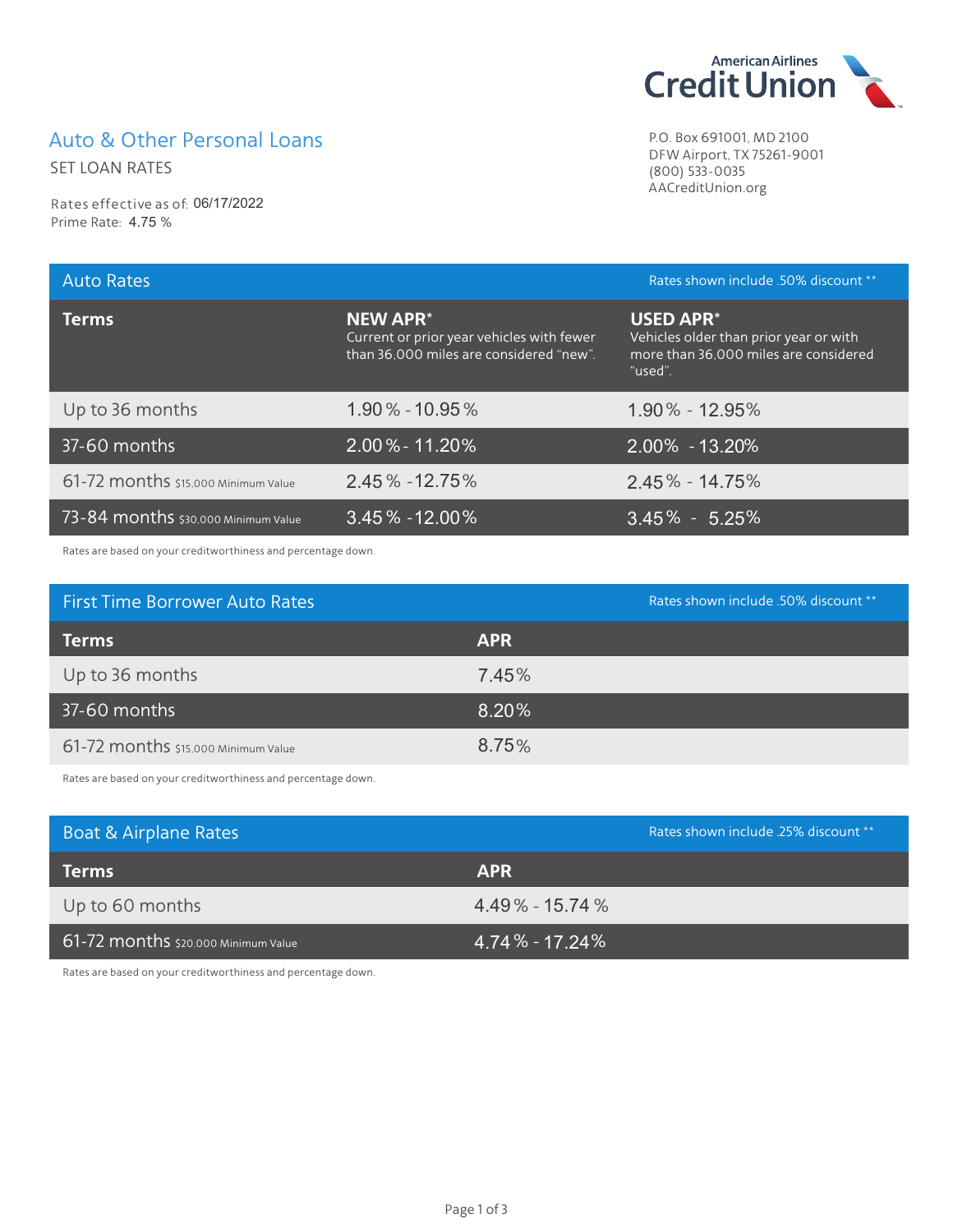## Auto & Other Personal Loans

SET LOAN RATES

Rates effective as of: 06/17/2022 Prime Rate: 4.75 %



P.O. Box 691001, MD 2100 DFW Airport, TX 75261-9001 (800) 533-0035 AACreditUnion.org

| <b>Auto Rates</b>                   |                                                                                                         | Rates shown include .50% discount **                                                                           |
|-------------------------------------|---------------------------------------------------------------------------------------------------------|----------------------------------------------------------------------------------------------------------------|
| <b>Terms</b>                        | <b>NEW APR*</b><br>Current or prior year vehicles with fewer<br>than 36,000 miles are considered "new". | <b>USED APR*</b><br>Vehicles older than prior year or with<br>more than 36,000 miles are considered<br>"used". |
| Up to 36 months                     | $1.90\% - 10.95\%$                                                                                      | $1.90\% - 12.95\%$                                                                                             |
| 37-60 months                        | $2.00\% - 11.20\%$                                                                                      | $2.00\% - 13.20\%$                                                                                             |
| 61-72 months \$15,000 Minimum Value | 2.45% - 12.75%                                                                                          | $2.45\% - 14.75\%$                                                                                             |
| 73-84 months \$30,000 Minimum Value | $3.45\% - 12.00\%$                                                                                      | $3.45\% - 5.25\%$                                                                                              |

Rates are based on your creditworthiness and percentage down.

| <b>First Time Borrower Auto Rates</b> | Rates shown include .50% discount ** |
|---------------------------------------|--------------------------------------|
| <b>Terms</b>                          | <b>APR</b>                           |
| Up to 36 months                       | 7.45%                                |
| 37-60 months                          | 8.20%                                |
| 61-72 months \$15,000 Minimum Value   | 8.75%                                |

Rates are based on your creditworthiness and percentage down.

| Boat & Airplane Rates               | Rates shown include 25% discount ** |
|-------------------------------------|-------------------------------------|
| <b>Terms</b>                        | <b>APR</b>                          |
| Up to 60 months                     | $4.49\% - 15.74\%$                  |
| 61-72 months \$20,000 Minimum Value | $4.74\%$ - 17.24%                   |

Rates are based on your creditworthiness and percentage down.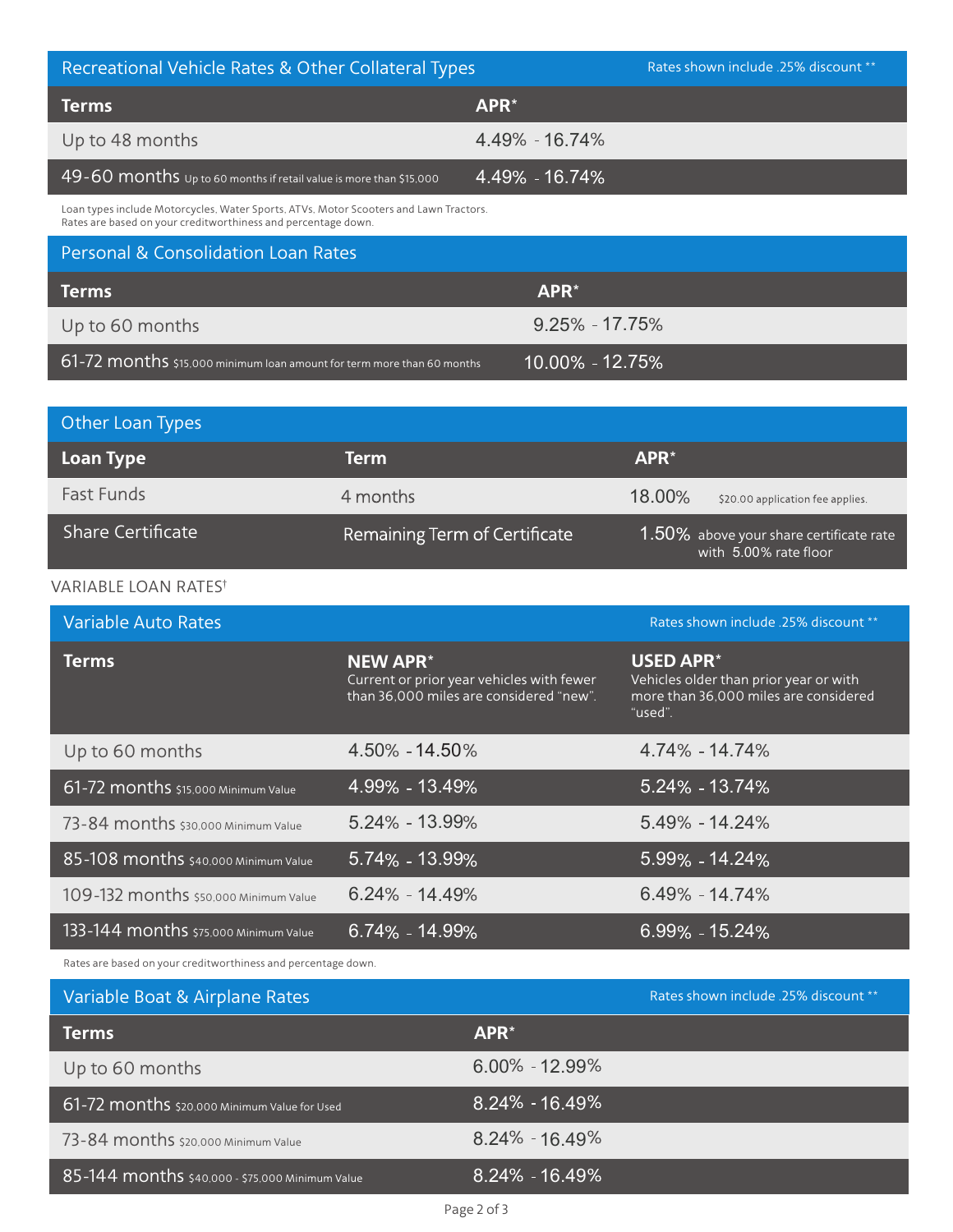| Recreational Vehicle Rates & Other Collateral Types                                                                                                    | Rates shown include .25% discount ** |
|--------------------------------------------------------------------------------------------------------------------------------------------------------|--------------------------------------|
| <b>Terms</b>                                                                                                                                           | APR*                                 |
| Up to 48 months                                                                                                                                        | 4.49% - 16.74%                       |
| $49 - 60$ months $u_{p}$ to 60 months if retail value is more than \$15,000                                                                            | 4.49% - 16.74%                       |
| Loan types include Motorcycles, Water Sports, ATVs, Motor Scooters and Lawn Tractors.<br>Rates are based on your creditworthiness and percentage down. |                                      |
| <b>Personal &amp; Consolidation Loan Rates</b>                                                                                                         |                                      |
| <b>Terms</b>                                                                                                                                           | APR <sup>*</sup>                     |
| Up to 60 months                                                                                                                                        | $9.25\% - 17.75\%$                   |
| 61-72 months \$15,000 minimum loan amount for term more than 60 months                                                                                 | $10.00\%$ - 12.75%                   |

| Other Loan Types         |                               |                                                                  |
|--------------------------|-------------------------------|------------------------------------------------------------------|
| <b>Loan Type</b>         | <b>Term</b>                   | $APR^*$                                                          |
| <b>Fast Funds</b>        | 4 months                      | 18.00%<br>\$20.00 application fee applies.                       |
| <b>Share Certificate</b> | Remaining Term of Certificate | 1.50% above your share certificate rate<br>with 5.00% rate floor |

## VARIABLE LOAN RATES<sup>†</sup>

| <b>Variable Auto Rates</b>            |                                                                                                         | Rates shown include .25% discount **                                                                           |
|---------------------------------------|---------------------------------------------------------------------------------------------------------|----------------------------------------------------------------------------------------------------------------|
| <b>Terms</b>                          | <b>NEW APR*</b><br>Current or prior year vehicles with fewer<br>than 36,000 miles are considered "new". | <b>USED APR*</b><br>Vehicles older than prior year or with<br>more than 36,000 miles are considered<br>"used". |
| Up to 60 months                       | 4.50% - 14.50%                                                                                          | 4.74% - 14.74%                                                                                                 |
| 61-72 months \$15,000 Minimum Value   | 4.99% - 13.49%                                                                                          | 5.24% - 13.74%                                                                                                 |
| 73-84 months \$30,000 Minimum Value   | $5.24\% - 13.99\%$                                                                                      | $5.49\% - 14.24\%$                                                                                             |
| 85-108 months \$40,000 Minimum Value  | 5.74% - 13.99%                                                                                          | 5.99% - 14.24%                                                                                                 |
| 109-132 months \$50,000 Minimum Value | $6.24\% - 14.49\%$                                                                                      | $6.49\% - 14.74\%$                                                                                             |
| 133-144 months \$75,000 Minimum Value | $6.74\% - 14.99\%$                                                                                      | $6.99\% - 15.24\%$                                                                                             |

Rates are based on your creditworthiness and percentage down.

| Variable Boat & Airplane Rates                  |                    | Rates shown include .25% discount ** |
|-------------------------------------------------|--------------------|--------------------------------------|
| <b>Terms</b>                                    | APR <sup>*</sup>   |                                      |
| Up to 60 months                                 | $6.00\% - 12.99\%$ |                                      |
| 61-72 months \$20,000 Minimum Value for Used    | $8.24\% - 16.49\%$ |                                      |
| 73-84 months \$20,000 Minimum Value             | $8.24\% - 16.49\%$ |                                      |
| 85-144 months \$40,000 - \$75,000 Minimum Value | $8.24\% - 16.49\%$ |                                      |